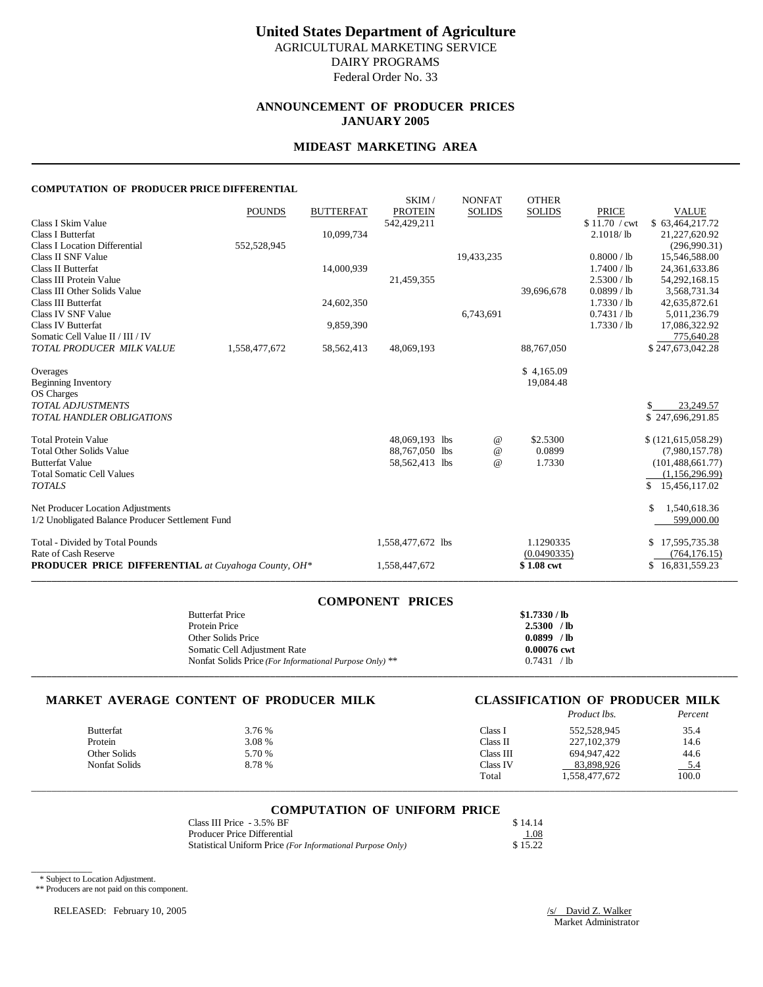### **ANNOUNCEMENT OF PRODUCER PRICES JANUARY 2005**

### **MIDEAST MARKETING AREA**

#### **COMPUTATION OF PRODUCER PRICE DIFFERENTIAL**

|                                                            |               |                  | SKIM/             | <b>NONFAT</b> | <b>OTHER</b>  |               |                     |
|------------------------------------------------------------|---------------|------------------|-------------------|---------------|---------------|---------------|---------------------|
|                                                            | <b>POUNDS</b> | <b>BUTTERFAT</b> | <b>PROTEIN</b>    | <b>SOLIDS</b> | <b>SOLIDS</b> | <b>PRICE</b>  | <b>VALUE</b>        |
| Class I Skim Value                                         |               |                  | 542,429,211       |               |               | \$11.70 / cwt | \$63,464,217.72     |
| Class I Butterfat                                          |               | 10,099,734       |                   |               |               | 2.1018/lb     | 21,227,620.92       |
| <b>Class I Location Differential</b>                       | 552,528,945   |                  |                   |               |               |               | (296,990.31)        |
| Class II SNF Value                                         |               |                  |                   | 19,433,235    |               | 0.8000 / lb   | 15,546,588.00       |
| <b>Class II Butterfat</b>                                  |               | 14,000,939       |                   |               |               | 1.7400 / lb   | 24,361,633.86       |
| Class III Protein Value                                    |               |                  | 21,459,355        |               |               | 2.5300 / lb   | 54,292,168.15       |
| Class III Other Solids Value                               |               |                  |                   |               | 39,696,678    | $0.0899$ / lb | 3,568,731.34        |
| <b>Class III Butterfat</b>                                 |               | 24,602,350       |                   |               |               | 1.7330 / lb   | 42,635,872.61       |
| <b>Class IV SNF Value</b>                                  |               |                  |                   | 6,743,691     |               | 0.7431 / lb   | 5,011,236.79        |
| <b>Class IV Butterfat</b>                                  |               | 9,859,390        |                   |               |               | 1.7330 / lb   | 17,086,322.92       |
| Somatic Cell Value II / III / IV                           |               |                  |                   |               |               |               | 775,640.28          |
| TOTAL PRODUCER MILK VALUE                                  | 1,558,477,672 | 58, 562, 413     | 48,069,193        |               | 88,767,050    |               | \$247,673,042.28    |
| Overages                                                   |               |                  |                   |               | \$4,165.09    |               |                     |
| <b>Beginning Inventory</b>                                 |               |                  |                   |               | 19,084.48     |               |                     |
| OS Charges                                                 |               |                  |                   |               |               |               |                     |
| <b>TOTAL ADJUSTMENTS</b>                                   |               |                  |                   |               |               |               | 23,249.57           |
| TOTAL HANDLER OBLIGATIONS                                  |               |                  |                   |               |               |               | \$247,696,291.85    |
|                                                            |               |                  |                   |               |               |               |                     |
| <b>Total Protein Value</b>                                 |               |                  | 48,069,193 lbs    | $^{\circ}$    | \$2.5300      |               | \$(121,615,058.29)  |
| <b>Total Other Solids Value</b>                            |               |                  | 88,767,050 lbs    | $\omega$      | 0.0899        |               | (7,980,157.78)      |
| <b>Butterfat Value</b>                                     |               |                  | 58,562,413 lbs    | $\omega$      | 1.7330        |               | (101, 488, 661, 77) |
| <b>Total Somatic Cell Values</b>                           |               |                  |                   |               |               |               | (1,156,296.99)      |
| <b>TOTALS</b>                                              |               |                  |                   |               |               |               | \$<br>15,456,117.02 |
| Net Producer Location Adjustments                          |               |                  |                   |               |               |               | \$<br>1,540,618.36  |
| 1/2 Unobligated Balance Producer Settlement Fund           |               |                  |                   |               |               |               | 599,000.00          |
| Total - Divided by Total Pounds                            |               |                  | 1,558,477,672 lbs |               | 1.1290335     |               | 17,595,735.38<br>S  |
| Rate of Cash Reserve                                       |               |                  |                   |               | (0.0490335)   |               | (764, 176.15)       |
| <b>PRODUCER PRICE DIFFERENTIAL</b> at Cuyahoga County, OH* |               |                  | 1,558,447,672     |               | \$1.08 cwt    |               | \$16,831,559.23     |

| <b>COMPONENT PRICES</b>                                 |               |
|---------------------------------------------------------|---------------|
| <b>Butterfat Price</b>                                  | \$1.7330 / lb |
| Protein Price                                           | 2.5300 / lb   |
| Other Solids Price                                      | 0.0899 / lb   |
| Somatic Cell Adjustment Rate                            | 0.00076 cwt   |
| Nonfat Solids Price (For Informational Purpose Only) ** | 0.7431 / lb   |
|                                                         |               |

#### **MARKET AVERAGE CONTENT OF PRODUCER MILK CLASSIFICATION OF PRODUCER MILK**

|                  |        |           | Product lbs.  | Percent |
|------------------|--------|-----------|---------------|---------|
| <b>Butterfat</b> | 3.76 % | Class l   | 552,528,945   | 35.4    |
| Protein          | 3.08 % | Class II  | 227, 102, 379 | 14.6    |
| Other Solids     | 5.70 % | Class III | 694.947.422   | 44.6    |
| Nonfat Solids    | 8.78 % | Class IV  | 83.898.926    | $-5.4$  |
|                  |        | Total     | 1,558,477,672 | 100.0   |

## \_\_\_\_\_\_\_\_\_\_\_\_\_\_\_\_\_\_\_\_\_\_\_\_\_\_\_\_\_\_\_\_\_\_\_\_\_\_\_\_\_\_\_\_\_\_\_\_\_\_\_\_\_\_\_\_\_\_\_\_\_\_\_\_\_\_\_\_\_\_\_\_\_\_\_\_\_\_\_\_\_\_\_\_\_\_\_\_\_\_\_\_\_\_\_\_\_\_\_\_\_\_\_\_\_\_\_\_\_\_\_\_\_\_\_\_\_\_\_\_\_\_\_\_\_\_\_\_\_\_\_\_\_\_\_\_\_\_\_ **COMPUTATION OF UNIFORM PRICE**

| Class III Price - 3.5% BF                                  | \$14.14 |
|------------------------------------------------------------|---------|
| Producer Price Differential                                | 1.08    |
| Statistical Uniform Price (For Informational Purpose Only) | \$15.22 |

\* Subject to Location Adjustment.

\_\_\_\_\_\_\_\_\_\_\_\_

\*\* Producers are not paid on this component.

RELEASED: February 10, 2005 /s/ David Z. Walker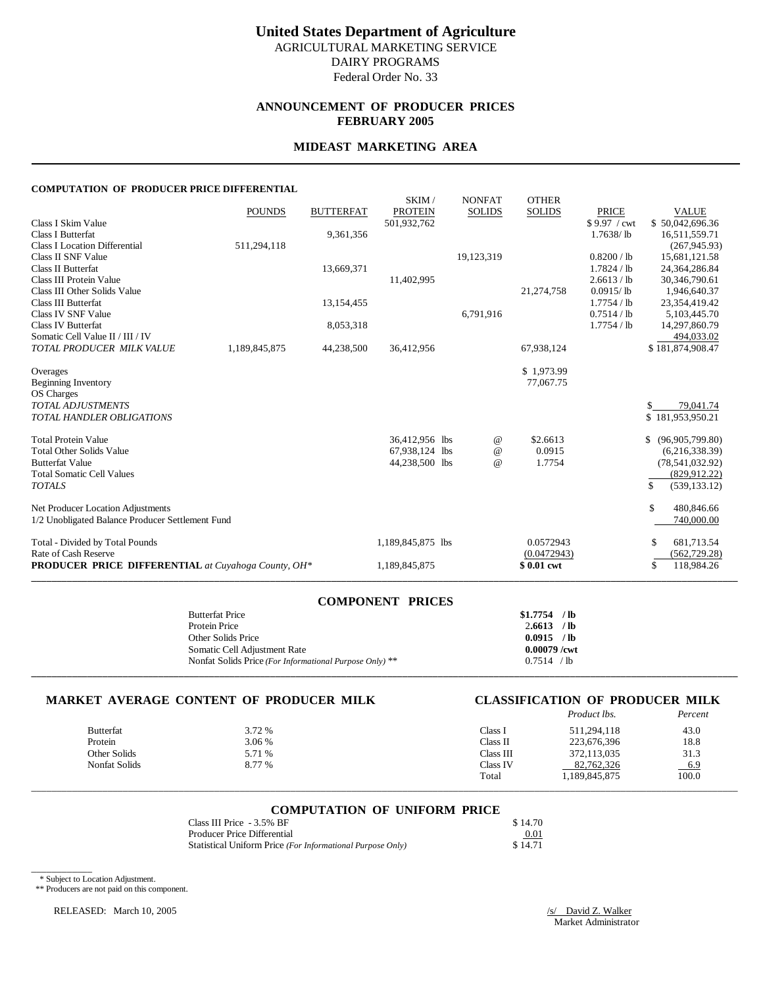### **ANNOUNCEMENT OF PRODUCER PRICES FEBRUARY 2005**

#### **MIDEAST MARKETING AREA**

#### **COMPUTATION OF PRODUCER PRICE DIFFERENTIAL**

|                                                            |               |                  | SKIM/             | <b>NONFAT</b> | <b>OTHER</b>  |                      |                       |
|------------------------------------------------------------|---------------|------------------|-------------------|---------------|---------------|----------------------|-----------------------|
|                                                            | <b>POUNDS</b> | <b>BUTTERFAT</b> | <b>PROTEIN</b>    | <b>SOLIDS</b> | <b>SOLIDS</b> | <b>PRICE</b>         | <b>VALUE</b>          |
| Class I Skim Value                                         |               |                  | 501,932,762       |               |               | \$9.97 / cwt         | \$50,042,696.36       |
| Class I Butterfat                                          |               | 9,361,356        |                   |               |               | $1.7638/\mathrm{lb}$ | 16,511,559.71         |
| <b>Class I Location Differential</b>                       | 511,294,118   |                  |                   |               |               |                      | (267, 945.93)         |
| Class II SNF Value                                         |               |                  |                   | 19,123,319    |               | 0.8200 / lb          | 15,681,121.58         |
| <b>Class II Butterfat</b>                                  |               | 13,669,371       |                   |               |               | $1.7824$ / lb        | 24,364,286.84         |
| Class III Protein Value                                    |               |                  | 11,402,995        |               |               | 2.6613 / lb          | 30,346,790.61         |
| Class III Other Solids Value                               |               |                  |                   |               | 21,274,758    | $0.0915/$ lb         | 1,946,640.37          |
| <b>Class III Butterfat</b>                                 |               | 13,154,455       |                   |               |               | 1.7754 / lb          | 23,354,419.42         |
| <b>Class IV SNF Value</b>                                  |               |                  |                   | 6,791,916     |               | 0.7514 / lb          | 5,103,445.70          |
| <b>Class IV Butterfat</b>                                  |               | 8,053,318        |                   |               |               | 1.7754 / lb          | 14,297,860.79         |
| Somatic Cell Value II / III / IV                           |               |                  |                   |               |               |                      | 494,033.02            |
| TOTAL PRODUCER MILK VALUE                                  | 1,189,845,875 | 44,238,500       | 36,412,956        |               | 67,938,124    |                      | \$181,874,908.47      |
| Overages                                                   |               |                  |                   |               | \$1,973.99    |                      |                       |
| <b>Beginning Inventory</b>                                 |               |                  |                   |               | 77,067.75     |                      |                       |
| OS Charges                                                 |               |                  |                   |               |               |                      |                       |
| <b>TOTAL ADJUSTMENTS</b>                                   |               |                  |                   |               |               |                      | 79,041.74             |
| TOTAL HANDLER OBLIGATIONS                                  |               |                  |                   |               |               |                      | \$181,953,950.21      |
|                                                            |               |                  |                   |               |               |                      |                       |
| <b>Total Protein Value</b>                                 |               |                  | 36,412,956 lbs    | $^{\circ}$    | \$2.6613      |                      | \$<br>(96,905,799.80) |
| <b>Total Other Solids Value</b>                            |               |                  | 67,938,124 lbs    | $\omega$      | 0.0915        |                      | (6,216,338.39)        |
| <b>Butterfat Value</b>                                     |               |                  | 44,238,500 lbs    | $\omega$      | 1.7754        |                      | (78, 541, 032.92)     |
| <b>Total Somatic Cell Values</b>                           |               |                  |                   |               |               |                      | (829, 912, 22)        |
| <b>TOTALS</b>                                              |               |                  |                   |               |               |                      | \$<br>(539, 133, 12)  |
| Net Producer Location Adjustments                          |               |                  |                   |               |               |                      | \$<br>480,846.66      |
| 1/2 Unobligated Balance Producer Settlement Fund           |               |                  |                   |               |               |                      | 740,000.00            |
| Total - Divided by Total Pounds                            |               |                  | 1,189,845,875 lbs |               | 0.0572943     |                      | 681,713.54<br>S.      |
| Rate of Cash Reserve                                       |               |                  |                   |               | (0.0472943)   |                      | (562, 729.28)         |
| <b>PRODUCER PRICE DIFFERENTIAL</b> at Cuyahoga County, OH* |               |                  | 1,189,845,875     |               | \$0.01 cwt    |                      | 118,984.26<br>\$      |

| <b>COMPONENT PRICES</b>                                 |                |
|---------------------------------------------------------|----------------|
| <b>Butterfat Price</b>                                  | $$1.7754$ /lb  |
| Protein Price                                           | $2.6613$ /lb   |
| Other Solids Price                                      | $0.0915$ /lb   |
| Somatic Cell Adjustment Rate                            | $0.00079$ /cwt |
| Nonfat Solids Price (For Informational Purpose Only) ** | 0.7514 / lb    |
|                                                         |                |

#### **MARKET AVERAGE CONTENT OF PRODUCER MILK CLASSIFICATION OF PRODUCER MILK**

|                  |               |        |           | Product lbs. | Percent |
|------------------|---------------|--------|-----------|--------------|---------|
| <b>Butterfat</b> |               | 3.72 % | Class 1   | 511,294,118  | 43.0    |
| Protein          |               | 3.06 % | Class II  | 223,676,396  | 18.8    |
|                  | Other Solids  | 5.71 % | Class III | 372.113.035  | 31.3    |
|                  | Nonfat Solids | 8.77 % | Class IV  | 82,762,326   | 6.9     |
|                  |               |        | Total     | .189.845.875 | 100.0   |

## \_\_\_\_\_\_\_\_\_\_\_\_\_\_\_\_\_\_\_\_\_\_\_\_\_\_\_\_\_\_\_\_\_\_\_\_\_\_\_\_\_\_\_\_\_\_\_\_\_\_\_\_\_\_\_\_\_\_\_\_\_\_\_\_\_\_\_\_\_\_\_\_\_\_\_\_\_\_\_\_\_\_\_\_\_\_\_\_\_\_\_\_\_\_\_\_\_\_\_\_\_\_\_\_\_\_\_\_\_\_\_\_\_\_\_\_\_\_\_\_\_\_\_\_\_\_\_\_\_\_\_\_\_\_\_\_\_\_\_ **COMPUTATION OF UNIFORM PRICE**

| Class III Price - 3.5% BF                                  | \$14.70 |
|------------------------------------------------------------|---------|
| Producer Price Differential                                | 0.01    |
| Statistical Uniform Price (For Informational Purpose Only) | \$14.71 |

\* Subject to Location Adjustment.

\_\_\_\_\_\_\_\_\_\_\_\_

\*\* Producers are not paid on this component.

RELEASED: March 10, 2005 /s/ David Z. Walker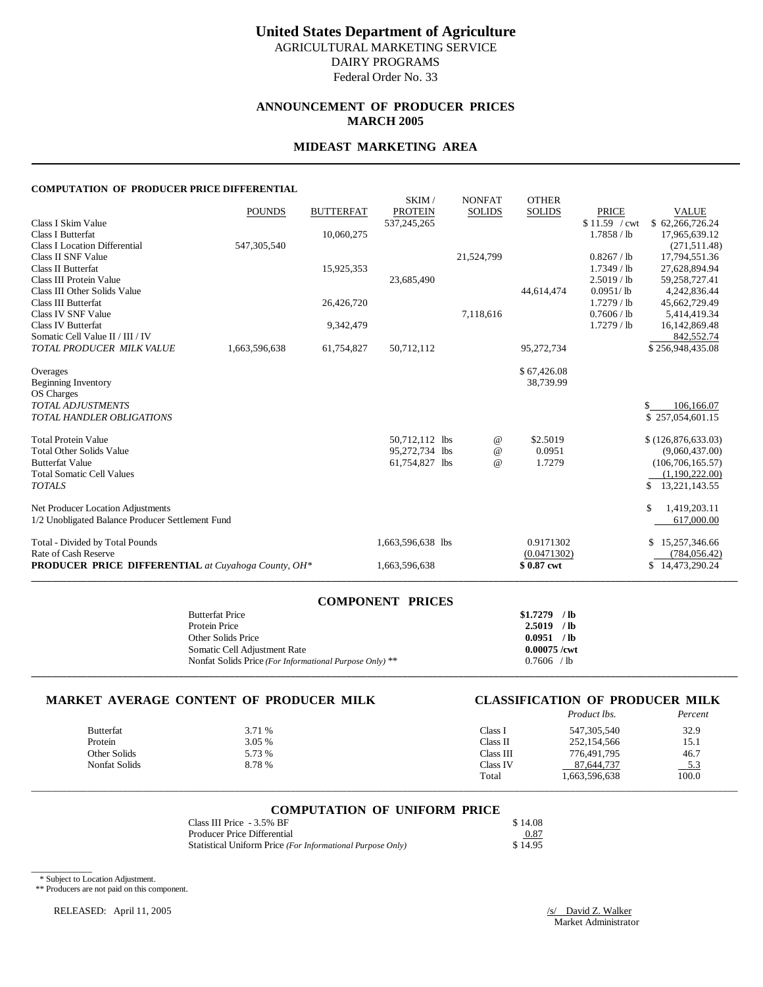Federal Order No. 33

## **ANNOUNCEMENT OF PRODUCER PRICES MARCH 2005**

#### **MIDEAST MARKETING AREA**

#### **COMPUTATION OF PRODUCER PRICE DIFFERENTIAL**

| non or inobecenting bill                                   |               |                  |                         |                                |                               |               |                     |
|------------------------------------------------------------|---------------|------------------|-------------------------|--------------------------------|-------------------------------|---------------|---------------------|
|                                                            | <b>POUNDS</b> | <b>BUTTERFAT</b> | SKIM/<br><b>PROTEIN</b> | <b>NONFAT</b><br><b>SOLIDS</b> | <b>OTHER</b><br><b>SOLIDS</b> | <b>PRICE</b>  | <b>VALUE</b>        |
| Class I Skim Value                                         |               |                  | 537,245,265             |                                |                               | \$11.59 / cwt | \$62,266,726.24     |
| <b>Class I Butterfat</b>                                   |               | 10,060,275       |                         |                                |                               | 1.7858 / lb   | 17,965,639.12       |
| <b>Class I Location Differential</b>                       | 547,305,540   |                  |                         |                                |                               |               | (271, 511, 48)      |
| Class II SNF Value                                         |               |                  |                         | 21,524,799                     |                               | 0.8267 / lb   | 17,794,551.36       |
| <b>Class II Butterfat</b>                                  |               | 15,925,353       |                         |                                |                               | $1.7349$ / lb | 27,628,894.94       |
| Class III Protein Value                                    |               |                  | 23,685,490              |                                |                               | 2.5019 / lb   | 59,258,727.41       |
| Class III Other Solids Value                               |               |                  |                         |                                | 44,614,474                    | $0.0951/$ lb  | 4,242,836.44        |
| Class III Butterfat                                        |               | 26,426,720       |                         |                                |                               | $1.7279$ / lb | 45,662,729.49       |
| Class IV SNF Value                                         |               |                  |                         | 7,118,616                      |                               | 0.7606 / lb   | 5,414,419.34        |
| <b>Class IV Butterfat</b>                                  |               | 9,342,479        |                         |                                |                               | $1.7279$ / lb | 16,142,869.48       |
| Somatic Cell Value II / III / IV                           |               |                  |                         |                                |                               |               | 842,552.74          |
| TOTAL PRODUCER MILK VALUE                                  | 1,663,596,638 | 61,754,827       | 50,712,112              |                                | 95,272,734                    |               | \$256,948,435.08    |
|                                                            |               |                  |                         |                                |                               |               |                     |
| Overages                                                   |               |                  |                         |                                | \$67,426.08                   |               |                     |
| <b>Beginning Inventory</b>                                 |               |                  |                         |                                | 38,739.99                     |               |                     |
| OS Charges                                                 |               |                  |                         |                                |                               |               |                     |
| <b>TOTAL ADJUSTMENTS</b>                                   |               |                  |                         |                                |                               |               | 106,166.07          |
| <b>TOTAL HANDLER OBLIGATIONS</b>                           |               |                  |                         |                                |                               |               | \$257,054,601.15    |
| <b>Total Protein Value</b>                                 |               |                  | 50,712,112 lbs          | @                              | \$2.5019                      |               | \$(126,876,633.03)  |
| <b>Total Other Solids Value</b>                            |               |                  | 95,272,734 lbs          | $^{\copyright}$                | 0.0951                        |               | (9,060,437.00)      |
| <b>Butterfat Value</b>                                     |               |                  | 61,754,827 lbs          | $\omega$                       | 1.7279                        |               | (106, 706, 165.57)  |
| <b>Total Somatic Cell Values</b>                           |               |                  |                         |                                |                               |               | (1,190,222.00)      |
| <b>TOTALS</b>                                              |               |                  |                         |                                |                               |               | 13,221,143.55<br>\$ |
|                                                            |               |                  |                         |                                |                               |               |                     |
| Net Producer Location Adjustments                          |               |                  |                         |                                |                               |               | 1,419,203.11<br>\$  |
| 1/2 Unobligated Balance Producer Settlement Fund           |               |                  |                         |                                |                               |               | 617,000.00          |
| Total - Divided by Total Pounds                            |               |                  | 1,663,596,638 lbs       |                                | 0.9171302                     |               | 15,257,346.66<br>S  |
| Rate of Cash Reserve                                       |               |                  |                         |                                | (0.0471302)                   |               | (784, 056.42)       |
| <b>PRODUCER PRICE DIFFERENTIAL</b> at Cuyahoga County, OH* |               |                  | 1,663,596,638           |                                | \$0.87 cwt                    |               | \$14,473,290.24     |
|                                                            |               |                  |                         |                                |                               |               |                     |

| <b>COMPONENT PRICES</b>                                 |                |
|---------------------------------------------------------|----------------|
| <b>Butterfat Price</b>                                  | $$1.7279$ /lb  |
| Protein Price                                           | $2.5019$ /lb   |
| Other Solids Price                                      | 0.0951 / lb    |
| Somatic Cell Adjustment Rate                            | $0.00075$ /cwt |
| Nonfat Solids Price (For Informational Purpose Only) ** | $0.7606$ /lb   |
|                                                         |                |

#### **MARKET AVERAGE CONTENT OF PRODUCER MILK CLASSIFICATION OF PRODUCER MILK**

|               |        |           | Product lbs.  | Percent |
|---------------|--------|-----------|---------------|---------|
| Butterfat     | 3.71 % | Class l   | 547,305,540   | 32.9    |
| Protein       | 3.05 % | Class II  | 252,154,566   | 15.1    |
| Other Solids  | 5.73 % | Class III | 776,491,795   | 46.7    |
| Nonfat Solids | 8.78 % | Class IV  | 87.644.737    | $-5.3$  |
|               |        | Total     | 1,663,596,638 | 100.0   |

## \_\_\_\_\_\_\_\_\_\_\_\_\_\_\_\_\_\_\_\_\_\_\_\_\_\_\_\_\_\_\_\_\_\_\_\_\_\_\_\_\_\_\_\_\_\_\_\_\_\_\_\_\_\_\_\_\_\_\_\_\_\_\_\_\_\_\_\_\_\_\_\_\_\_\_\_\_\_\_\_\_\_\_\_\_\_\_\_\_\_\_\_\_\_\_\_\_\_\_\_\_\_\_\_\_\_\_\_\_\_\_\_\_\_\_\_\_\_\_\_\_\_\_\_\_\_\_\_\_\_\_\_\_\_\_\_\_\_\_ **COMPUTATION OF UNIFORM PRICE**

| Class III Price - 3.5% BF                                  | \$14.08 |
|------------------------------------------------------------|---------|
| Producer Price Differential                                | 0.87    |
| Statistical Uniform Price (For Informational Purpose Only) | \$14.95 |

\* Subject to Location Adjustment.

\_\_\_\_\_\_\_\_\_\_\_\_

\*\* Producers are not paid on this component.

RELEASED: April 11, 2005 /s/ David Z. Walker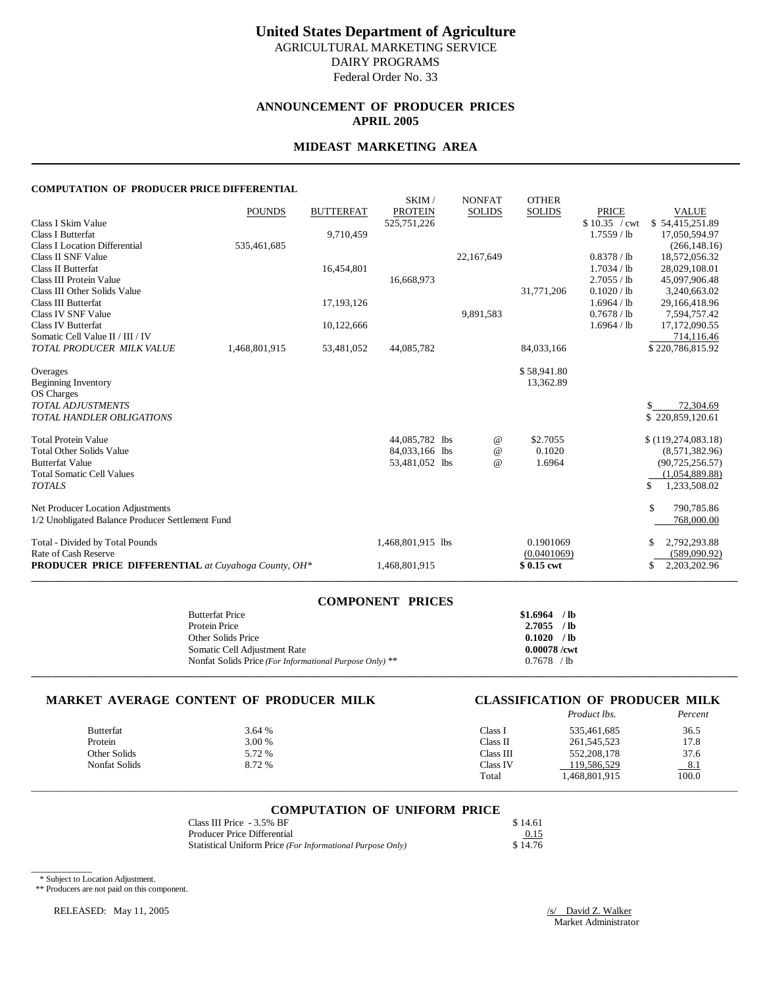Federal Order No. 33

## **ANNOUNCEMENT OF PRODUCER PRICES APRIL 2005**

#### **MIDEAST MARKETING AREA**

#### **COMPUTATION OF PRODUCER PRICE DIFFERENTIAL**

|                                                            | <b>POUNDS</b> | <b>BUTTERFAT</b> | SKIM/<br><b>PROTEIN</b>          | <b>NONFAT</b><br><b>SOLIDS</b> | <b>OTHER</b><br><b>SOLIDS</b> | <b>PRICE</b>  | <b>VALUE</b>                      |
|------------------------------------------------------------|---------------|------------------|----------------------------------|--------------------------------|-------------------------------|---------------|-----------------------------------|
| Class I Skim Value                                         |               |                  | 525,751,226                      |                                |                               | \$10.35 / cwt | \$54,415,251.89                   |
| Class I Butterfat                                          |               | 9,710,459        |                                  |                                |                               | $1.7559$ / lb | 17,050,594.97                     |
| <b>Class I Location Differential</b>                       | 535,461,685   |                  |                                  |                                |                               |               | (266, 148.16)                     |
| Class II SNF Value                                         |               |                  |                                  | 22,167,649                     |                               | 0.8378 / lb   | 18,572,056.32                     |
| <b>Class II Butterfat</b>                                  |               | 16,454,801       |                                  |                                |                               | 1.7034 / lb   | 28,029,108.01                     |
| Class III Protein Value                                    |               |                  | 16,668,973                       |                                |                               | 2.7055 / lb   | 45,097,906.48                     |
| Class III Other Solids Value                               |               |                  |                                  |                                | 31,771,206                    | 0.1020 / lb   | 3,240,663.02                      |
| <b>Class III Butterfat</b>                                 |               | 17,193,126       |                                  |                                |                               | 1.6964 / lb   | 29,166,418.96                     |
| Class IV SNF Value                                         |               |                  |                                  | 9,891,583                      |                               | 0.7678 / lb   | 7.594.757.42                      |
| Class IV Butterfat                                         |               | 10,122,666       |                                  |                                |                               | 1.6964 / lb   | 17,172,090.55                     |
| Somatic Cell Value II / III / IV                           |               |                  |                                  |                                |                               |               | 714,116.46                        |
| TOTAL PRODUCER MILK VALUE                                  | 1,468,801,915 | 53,481,052       | 44,085,782                       |                                | 84,033,166                    |               | \$220,786,815.92                  |
| Overages                                                   |               |                  |                                  |                                | \$58,941.80                   |               |                                   |
| <b>Beginning Inventory</b>                                 |               |                  |                                  |                                | 13,362.89                     |               |                                   |
| OS Charges                                                 |               |                  |                                  |                                |                               |               |                                   |
| <b>TOTAL ADJUSTMENTS</b>                                   |               |                  |                                  |                                |                               |               | 72,304.69                         |
| <b>TOTAL HANDLER OBLIGATIONS</b>                           |               |                  |                                  |                                |                               |               | \$220,859,120.61                  |
|                                                            |               |                  |                                  |                                |                               |               |                                   |
| <b>Total Protein Value</b>                                 |               |                  | 44,085,782 lbs                   | @                              | \$2.7055                      |               | \$(119, 274, 083.18)              |
| <b>Total Other Solids Value</b><br><b>Butterfat Value</b>  |               |                  | 84,033,166 lbs<br>53,481,052 lbs | $^{\copyright}$<br>$\omega$    | 0.1020                        |               | (8,571,382.96)                    |
| <b>Total Somatic Cell Values</b>                           |               |                  |                                  |                                | 1.6964                        |               | (90,725,256.57)<br>(1,054,889.88) |
| <b>TOTALS</b>                                              |               |                  |                                  |                                |                               |               | \$<br>1,233,508.02                |
|                                                            |               |                  |                                  |                                |                               |               |                                   |
| Net Producer Location Adjustments                          |               |                  |                                  |                                |                               |               | \$.<br>790,785.86                 |
| 1/2 Unobligated Balance Producer Settlement Fund           |               |                  |                                  |                                |                               |               | 768,000.00                        |
| Total - Divided by Total Pounds                            |               |                  | 1,468,801,915 lbs                |                                | 0.1901069                     |               | 2,792,293.88                      |
| Rate of Cash Reserve                                       |               |                  |                                  |                                | (0.0401069)                   |               | (589,090.92)                      |
| <b>PRODUCER PRICE DIFFERENTIAL</b> at Cuyahoga County, OH* |               |                  | 1,468,801,915                    |                                | \$0.15 cwt                    |               | 2,203,202.96<br>\$                |
|                                                            |               |                  |                                  |                                |                               |               |                                   |

| <b>COMPONENT PRICES</b>                                 |                |
|---------------------------------------------------------|----------------|
| <b>Butterfat Price</b>                                  | $$1.6964$ /lb  |
| Protein Price                                           | $2.7055$ /lb   |
| Other Solids Price                                      | $0.1020$ /lb   |
| Somatic Cell Adjustment Rate                            | $0.00078$ /cwt |
| Nonfat Solids Price (For Informational Purpose Only) ** | $0.7678$ /lb   |
|                                                         |                |

#### **MARKET AVERAGE CONTENT OF PRODUCER MILK CLASSIFICATION OF PRODUCER MILK**

|                  |        |           | Product lbs.  | Percent |
|------------------|--------|-----------|---------------|---------|
| <b>Butterfat</b> | 3.64 % | Class i   | 535,461,685   | 36.5    |
| Protein          | 3.00 % | Class II  | 261, 545, 523 | 17.8    |
| Other Solids     | 5.72 % | Class III | 552,208,178   | 37.6    |
| Nonfat Solids    | 8.72 % | Class IV  | 119,586,529   | 8.1     |
|                  |        | Total     | 1.468.801.915 | 100.0   |

## \_\_\_\_\_\_\_\_\_\_\_\_\_\_\_\_\_\_\_\_\_\_\_\_\_\_\_\_\_\_\_\_\_\_\_\_\_\_\_\_\_\_\_\_\_\_\_\_\_\_\_\_\_\_\_\_\_\_\_\_\_\_\_\_\_\_\_\_\_\_\_\_\_\_\_\_\_\_\_\_\_\_\_\_\_\_\_\_\_\_\_\_\_\_\_\_\_\_\_\_\_\_\_\_\_\_\_\_\_\_\_\_\_\_\_\_\_\_\_\_\_\_\_\_\_\_\_\_\_\_\_\_\_\_\_\_\_\_\_ **COMPUTATION OF UNIFORM PRICE**

| Class III Price - 3.5% BF                                  | \$14.61 |
|------------------------------------------------------------|---------|
| Producer Price Differential                                | 0.15    |
| Statistical Uniform Price (For Informational Purpose Only) | \$14.76 |

\* Subject to Location Adjustment.

\_\_\_\_\_\_\_\_\_\_\_\_

\*\* Producers are not paid on this component.

RELEASED: May 11, 2005 /s/ David Z. Walker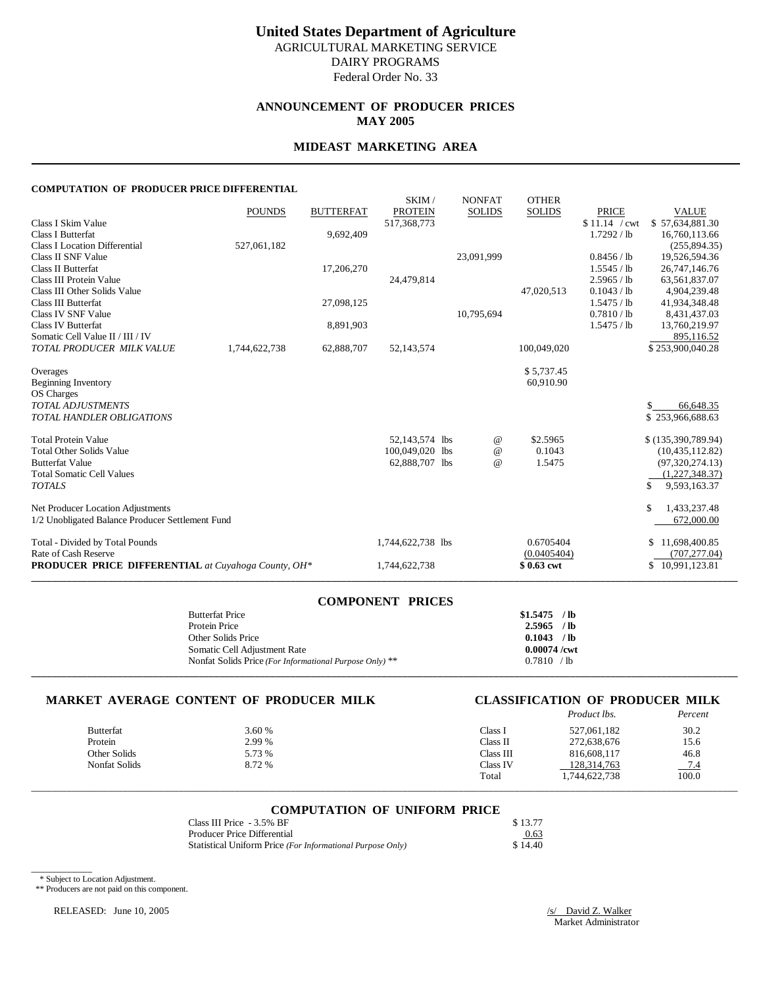# **United States Department of Agriculture**

AGRICULTURAL MARKETING SERVICE DAIRY PROGRAMS

Federal Order No. 33

### **ANNOUNCEMENT OF PRODUCER PRICES MAY 2005**

#### **MIDEAST MARKETING AREA**

#### **COMPUTATION OF PRODUCER PRICE DIFFERENTIAL**

|                                                            |               |                  | SKIM/                         | <b>NONFAT</b>   | <b>OTHER</b>  |                                |                                 |
|------------------------------------------------------------|---------------|------------------|-------------------------------|-----------------|---------------|--------------------------------|---------------------------------|
| Class I Skim Value                                         | <b>POUNDS</b> | <b>BUTTERFAT</b> | <b>PROTEIN</b><br>517,368,773 | <b>SOLIDS</b>   | <b>SOLIDS</b> | <b>PRICE</b><br>$$11.14$ / cwt | <b>VALUE</b><br>\$57,634,881.30 |
| Class I Butterfat                                          |               | 9,692,409        |                               |                 |               | 1.7292 / lb                    | 16.760.113.66                   |
| <b>Class I Location Differential</b>                       | 527,061,182   |                  |                               |                 |               |                                | (255, 894, 35)                  |
| Class II SNF Value                                         |               |                  |                               | 23,091,999      |               | 0.8456 / lb                    | 19,526,594.36                   |
| <b>Class II Butterfat</b>                                  |               | 17,206,270       |                               |                 |               | 1.5545 / lb                    | 26,747,146.76                   |
| Class III Protein Value                                    |               |                  | 24,479,814                    |                 |               | 2.5965 / lb                    | 63,561,837.07                   |
| Class III Other Solids Value                               |               |                  |                               |                 | 47,020,513    | 0.1043 / lb                    | 4,904,239.48                    |
| <b>Class III Butterfat</b>                                 |               | 27,098,125       |                               |                 |               | 1.5475 / lb                    | 41,934,348.48                   |
| Class IV SNF Value                                         |               |                  |                               | 10,795,694      |               | 0.7810 / lb                    | 8,431,437.03                    |
| <b>Class IV Butterfat</b>                                  |               | 8,891,903        |                               |                 |               | 1.5475 / lb                    | 13,760,219.97                   |
| Somatic Cell Value II / III / IV                           |               |                  |                               |                 |               |                                | 895,116.52                      |
| TOTAL PRODUCER MILK VALUE                                  | 1,744,622,738 | 62,888,707       | 52,143,574                    |                 | 100,049,020   |                                | \$253,900,040.28                |
|                                                            |               |                  |                               |                 |               |                                |                                 |
| Overages                                                   |               |                  |                               |                 | \$5,737.45    |                                |                                 |
| <b>Beginning Inventory</b><br>OS Charges                   |               |                  |                               |                 | 60,910.90     |                                |                                 |
| <b>TOTAL ADJUSTMENTS</b>                                   |               |                  |                               |                 |               |                                | 66,648.35                       |
| TOTAL HANDLER OBLIGATIONS                                  |               |                  |                               |                 |               |                                | \$253,966,688.63                |
|                                                            |               |                  |                               |                 |               |                                |                                 |
| <b>Total Protein Value</b>                                 |               |                  | 52,143,574 lbs                | @               | \$2.5965      |                                | \$(135,390,789.94)              |
| <b>Total Other Solids Value</b>                            |               |                  | 100.049.020 lbs               | $^{\copyright}$ | 0.1043        |                                | (10, 435, 112, 82)              |
| <b>Butterfat Value</b>                                     |               |                  | 62,888,707 lbs                | $\omega$        | 1.5475        |                                | (97,320,274.13)                 |
| <b>Total Somatic Cell Values</b>                           |               |                  |                               |                 |               |                                | (1,227,348.37)                  |
| <b>TOTALS</b>                                              |               |                  |                               |                 |               |                                | \$<br>9,593,163.37              |
|                                                            |               |                  |                               |                 |               |                                |                                 |
| Net Producer Location Adjustments                          |               |                  |                               |                 |               |                                | \$<br>1,433,237.48              |
| 1/2 Unobligated Balance Producer Settlement Fund           |               |                  |                               |                 |               |                                | 672,000.00                      |
| Total - Divided by Total Pounds                            |               |                  | 1,744,622,738 lbs             |                 | 0.6705404     |                                | 11,698,400.85<br>S              |
| Rate of Cash Reserve                                       |               |                  |                               |                 | (0.0405404)   |                                | (707, 277.04)                   |
| <b>PRODUCER PRICE DIFFERENTIAL</b> at Cuyahoga County, OH* |               |                  | 1,744,622,738                 |                 | \$0.63 cwt    |                                | \$10,991,123.81                 |
|                                                            |               |                  |                               |                 |               |                                |                                 |

| <b>COMPONENT PRICES</b>                                 |                |
|---------------------------------------------------------|----------------|
| <b>Butterfat Price</b>                                  | $$1.5475$ /lb  |
| Protein Price                                           | $2.5965$ /lb   |
| Other Solids Price                                      | $0.1043$ /lb   |
| Somatic Cell Adjustment Rate                            | $0.00074$ /cwt |
| Nonfat Solids Price (For Informational Purpose Only) ** | 0.7810 / lb    |
|                                                         |                |

### **MARKET AVERAGE CONTENT OF PRODUCER MILK CLASSIFICATION OF PRODUCER MILK**

|         |                  |        |           | Product lbs.  | Percent |
|---------|------------------|--------|-----------|---------------|---------|
|         | <b>Butterfat</b> | 3.60 % | Class I   | 527,061,182   | 30.2    |
| Protein |                  | 2.99 % | Class II  | 272,638,676   | 15.6    |
|         | Other Solids     | 5.73 % | Class III | 816,608,117   | 46.8    |
|         | Nonfat Solids    | 8.72 % | Class IV  | 128,314,763   | 7.4     |
|         |                  |        | Total     | 1,744,622,738 | 100.0   |

## \_\_\_\_\_\_\_\_\_\_\_\_\_\_\_\_\_\_\_\_\_\_\_\_\_\_\_\_\_\_\_\_\_\_\_\_\_\_\_\_\_\_\_\_\_\_\_\_\_\_\_\_\_\_\_\_\_\_\_\_\_\_\_\_\_\_\_\_\_\_\_\_\_\_\_\_\_\_\_\_\_\_\_\_\_\_\_\_\_\_\_\_\_\_\_\_\_\_\_\_\_\_\_\_\_\_\_\_\_\_\_\_\_\_\_\_\_\_\_\_\_\_\_\_\_\_\_\_\_\_\_\_\_\_\_\_\_\_\_ **COMPUTATION OF UNIFORM PRICE**

| Class III Price - 3.5% BF                                  | \$13.77 |
|------------------------------------------------------------|---------|
| Producer Price Differential                                | 0.63    |
| Statistical Uniform Price (For Informational Purpose Only) | \$14.40 |

\* Subject to Location Adjustment.

\_\_\_\_\_\_\_\_\_\_\_\_

\*\* Producers are not paid on this component.

RELEASED: June 10, 2005 /s/ David Z. Walker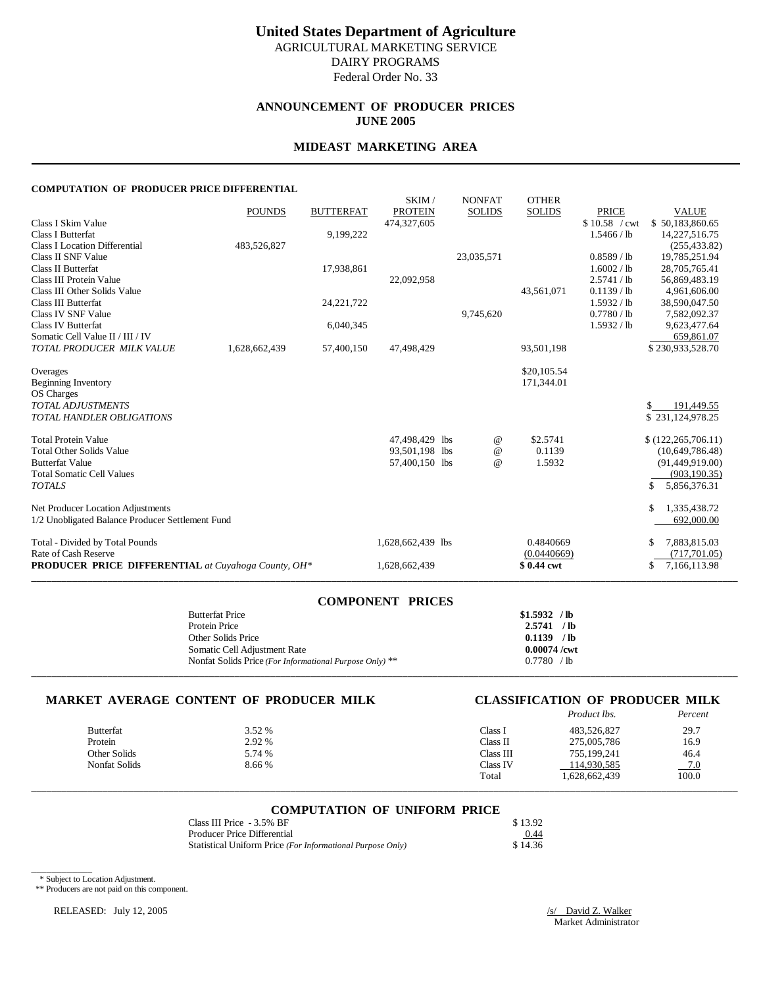## **United States Department of Agriculture** AGRICULTURAL MARKETING SERVICE

DAIRY PROGRAMS

Federal Order No. 33

### **ANNOUNCEMENT OF PRODUCER PRICES JUNE 2005**

#### **MIDEAST MARKETING AREA**

#### **COMPUTATION OF PRODUCER PRICE DIFFERENTIAL**

|                                                            |               |                  | SKIM/                         | <b>NONFAT</b> | <b>OTHER</b>  |                               |                                 |
|------------------------------------------------------------|---------------|------------------|-------------------------------|---------------|---------------|-------------------------------|---------------------------------|
| Class I Skim Value                                         | <b>POUNDS</b> | <b>BUTTERFAT</b> | <b>PROTEIN</b><br>474,327,605 | <b>SOLIDS</b> | <b>SOLIDS</b> | <b>PRICE</b><br>\$10.58 / cwt | <b>VALUE</b><br>\$50,183,860.65 |
| Class I Butterfat                                          |               | 9,199,222        |                               |               |               | 1.5466 / lb                   | 14,227,516.75                   |
| <b>Class I Location Differential</b>                       | 483,526,827   |                  |                               |               |               |                               | (255, 433.82)                   |
| Class II SNF Value                                         |               |                  |                               | 23,035,571    |               | $0.8589$ / lb                 | 19,785,251.94                   |
| <b>Class II Butterfat</b>                                  |               | 17,938,861       |                               |               |               | 1.6002 / lb                   | 28,705,765.41                   |
| Class III Protein Value                                    |               |                  | 22,092,958                    |               |               | 2.5741 / lb                   | 56,869,483.19                   |
| Class III Other Solids Value                               |               |                  |                               |               | 43,561,071    | $0.1139$ / lb                 | 4,961,606.00                    |
| <b>Class III Butterfat</b>                                 |               | 24, 221, 722     |                               |               |               | 1.5932 / lb                   | 38,590,047.50                   |
| Class IV SNF Value                                         |               |                  |                               | 9,745,620     |               | 0.7780 / lb                   | 7,582,092.37                    |
| <b>Class IV Butterfat</b>                                  |               | 6,040,345        |                               |               |               | 1.5932 / lb                   | 9,623,477.64                    |
| Somatic Cell Value II / III / IV                           |               |                  |                               |               |               |                               | 659,861.07                      |
| TOTAL PRODUCER MILK VALUE                                  | 1,628,662,439 | 57,400,150       | 47,498,429                    |               | 93,501,198    |                               | \$230,933,528.70                |
| Overages                                                   |               |                  |                               |               | \$20,105.54   |                               |                                 |
| <b>Beginning Inventory</b>                                 |               |                  |                               |               | 171,344.01    |                               |                                 |
| OS Charges                                                 |               |                  |                               |               |               |                               |                                 |
| <b>TOTAL ADJUSTMENTS</b>                                   |               |                  |                               |               |               |                               | \$<br>191,449.55                |
| TOTAL HANDLER OBLIGATIONS                                  |               |                  |                               |               |               |                               | \$231,124,978.25                |
|                                                            |               |                  |                               |               |               |                               |                                 |
| <b>Total Protein Value</b>                                 |               |                  | 47,498,429 lbs                | @             | \$2.5741      |                               | \$(122, 265, 706.11)            |
| <b>Total Other Solids Value</b>                            |               |                  | 93,501,198 lbs                | $\omega$      | 0.1139        |                               | (10,649,786.48)                 |
| <b>Butterfat Value</b>                                     |               |                  | 57,400,150 lbs                | $\omega$      | 1.5932        |                               | (91,449,919.00)                 |
| <b>Total Somatic Cell Values</b>                           |               |                  |                               |               |               |                               | (903, 190.35)                   |
| <b>TOTALS</b>                                              |               |                  |                               |               |               |                               | 5,856,376.31<br>\$              |
| Net Producer Location Adjustments                          |               |                  |                               |               |               |                               | \$<br>1,335,438.72              |
| 1/2 Unobligated Balance Producer Settlement Fund           |               |                  |                               |               |               |                               | 692,000.00                      |
|                                                            |               |                  |                               |               |               |                               |                                 |
| Total - Divided by Total Pounds                            |               |                  | 1,628,662,439 lbs             |               | 0.4840669     |                               | 7,883,815.03<br>S               |
| Rate of Cash Reserve                                       |               |                  |                               |               | (0.0440669)   |                               | (717, 701.05)                   |
| <b>PRODUCER PRICE DIFFERENTIAL</b> at Cuyahoga County, OH* |               |                  | 1,628,662,439                 |               | \$0.44 cwt    |                               | \$<br>7,166,113.98              |
|                                                            |               |                  |                               |               |               |                               |                                 |

| <b>COMPONENT PRICES</b>                                 |                |
|---------------------------------------------------------|----------------|
| <b>Butterfat Price</b>                                  | $$1.5932$ /lb  |
| Protein Price                                           | $2.5741$ /lb   |
| Other Solids Price                                      | $0.1139$ /lb   |
| Somatic Cell Adjustment Rate                            | $0.00074$ /cwt |
| Nonfat Solids Price (For Informational Purpose Only) ** | 0.7780 / lb    |
|                                                         |                |

### **MARKET AVERAGE CONTENT OF PRODUCER MILK CLASSIFICATION OF PRODUCER MILK**

|                  |        |           | Product lbs.  | Percent |
|------------------|--------|-----------|---------------|---------|
| <b>Butterfat</b> | 3.52 % | Class i   | 483,526,827   | 29.7    |
| Protein          | 2.92 % | Class II  | 275,005,786   | 16.9    |
| Other Solids     | 5.74 % | Class III | 755,199,241   | 46.4    |
| Nonfat Solids    | 8.66 % | Class IV  | 114,930,585   | $-7.0$  |
|                  |        | Total     | 1,628,662,439 | 100.0   |

## \_\_\_\_\_\_\_\_\_\_\_\_\_\_\_\_\_\_\_\_\_\_\_\_\_\_\_\_\_\_\_\_\_\_\_\_\_\_\_\_\_\_\_\_\_\_\_\_\_\_\_\_\_\_\_\_\_\_\_\_\_\_\_\_\_\_\_\_\_\_\_\_\_\_\_\_\_\_\_\_\_\_\_\_\_\_\_\_\_\_\_\_\_\_\_\_\_\_\_\_\_\_\_\_\_\_\_\_\_\_\_\_\_\_\_\_\_\_\_\_\_\_\_\_\_\_\_\_\_\_\_\_\_\_\_\_\_\_\_ **COMPUTATION OF UNIFORM PRICE**

| Class III Price - 3.5% BF                                  | \$13.92 |
|------------------------------------------------------------|---------|
| Producer Price Differential                                | 0.44    |
| Statistical Uniform Price (For Informational Purpose Only) | \$14.36 |

\* Subject to Location Adjustment.

\_\_\_\_\_\_\_\_\_\_\_\_

\*\* Producers are not paid on this component.

RELEASED: July 12, 2005 /s/ David Z. Walker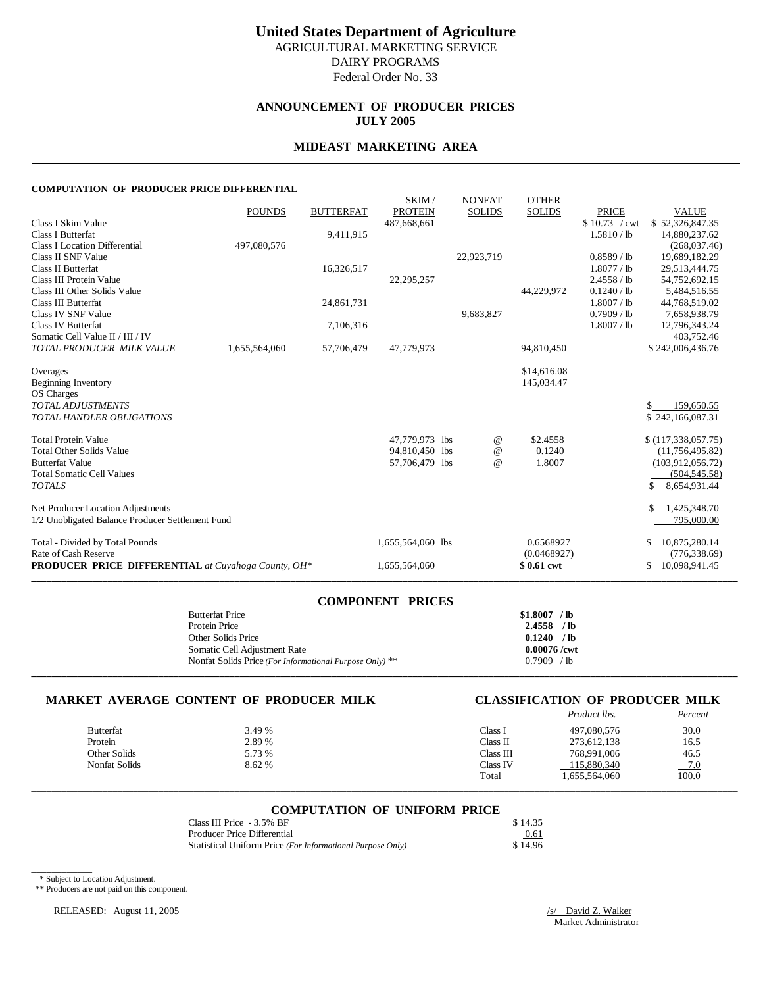# **United States Department of Agriculture**

AGRICULTURAL MARKETING SERVICE DAIRY PROGRAMS

Federal Order No. 33

## **ANNOUNCEMENT OF PRODUCER PRICES JULY 2005**

#### **MIDEAST MARKETING AREA**

#### **COMPUTATION OF PRODUCER PRICE DIFFERENTIAL**

|                                                            | <b>POUNDS</b> | <b>BUTTERFAT</b> | SKIM/<br><b>PROTEIN</b> | <b>NONFAT</b><br><b>SOLIDS</b> | <b>OTHER</b><br><b>SOLIDS</b> | <b>PRICE</b>   | <b>VALUE</b>         |
|------------------------------------------------------------|---------------|------------------|-------------------------|--------------------------------|-------------------------------|----------------|----------------------|
| Class I Skim Value                                         |               |                  | 487,668,661             |                                |                               | $$10.73$ / cwt | \$52,326,847.35      |
| Class I Butterfat                                          |               | 9,411,915        |                         |                                |                               | 1.5810 / lb    | 14.880.237.62        |
| <b>Class I Location Differential</b>                       | 497,080,576   |                  |                         |                                |                               |                | (268,037.46)         |
| Class II SNF Value                                         |               |                  |                         | 22,923,719                     |                               | $0.8589$ / lb  | 19,689,182.29        |
| <b>Class II Butterfat</b>                                  |               | 16,326,517       |                         |                                |                               | 1.8077 / lb    | 29,513,444.75        |
| Class III Protein Value                                    |               |                  | 22,295,257              |                                |                               | 2.4558 / lb    | 54,752,692.15        |
| Class III Other Solids Value                               |               |                  |                         |                                | 44,229,972                    | $0.1240$ / lb  | 5,484,516.55         |
| <b>Class III Butterfat</b>                                 |               | 24,861,731       |                         |                                |                               | 1.8007 / lb    | 44,768,519.02        |
| Class IV SNF Value                                         |               |                  |                         | 9,683,827                      |                               | 0.7909 / lb    | 7,658,938.79         |
| Class IV Butterfat                                         |               | 7,106,316        |                         |                                |                               | 1.8007 / lb    | 12,796,343.24        |
| Somatic Cell Value II / III / IV                           |               |                  |                         |                                |                               |                | 403,752.46           |
| TOTAL PRODUCER MILK VALUE                                  | 1,655,564,060 | 57,706,479       | 47,779,973              |                                | 94,810,450                    |                | \$242,006,436.76     |
|                                                            |               |                  |                         |                                |                               |                |                      |
| Overages                                                   |               |                  |                         |                                | \$14,616.08<br>145,034.47     |                |                      |
| <b>Beginning Inventory</b><br>OS Charges                   |               |                  |                         |                                |                               |                |                      |
| <b>TOTAL ADJUSTMENTS</b>                                   |               |                  |                         |                                |                               |                | 159,650.55           |
| TOTAL HANDLER OBLIGATIONS                                  |               |                  |                         |                                |                               |                | \$242,166,087.31     |
|                                                            |               |                  |                         |                                |                               |                |                      |
| <b>Total Protein Value</b>                                 |               |                  | 47,779,973 lbs          | @                              | \$2.4558                      |                | \$(117,338,057.75)   |
| <b>Total Other Solids Value</b>                            |               |                  | 94,810,450 lbs          | $^{\copyright}$                | 0.1240                        |                | (11, 756, 495.82)    |
| <b>Butterfat Value</b>                                     |               |                  | 57,706,479 lbs          | $\omega$                       | 1.8007                        |                | (103,912,056.72)     |
| <b>Total Somatic Cell Values</b>                           |               |                  |                         |                                |                               |                | (504, 545.58)        |
| <b>TOTALS</b>                                              |               |                  |                         |                                |                               |                | \$<br>8,654,931.44   |
| Net Producer Location Adjustments                          |               |                  |                         |                                |                               |                | \$<br>1,425,348.70   |
| 1/2 Unobligated Balance Producer Settlement Fund           |               |                  |                         |                                |                               |                | 795,000.00           |
|                                                            |               |                  |                         |                                |                               |                |                      |
| Total - Divided by Total Pounds                            |               |                  | 1,655,564,060 lbs       |                                | 0.6568927                     |                | 10,875,280.14<br>\$  |
| Rate of Cash Reserve                                       |               |                  |                         |                                | (0.0468927)                   |                | (776, 338.69)        |
| <b>PRODUCER PRICE DIFFERENTIAL</b> at Cuyahoga County, OH* |               |                  | 1,655,564,060           |                                | \$0.61 cwt                    |                | 10,098,941.45<br>\$. |
|                                                            |               |                  |                         |                                |                               |                |                      |

| <b>COMPONENT PRICES</b>                                 |                |
|---------------------------------------------------------|----------------|
| <b>Butterfat Price</b>                                  | $$1.8007$ /lb  |
| Protein Price                                           | $2.4558$ /lb   |
| Other Solids Price                                      | $0.1240$ /lb   |
| Somatic Cell Adjustment Rate                            | $0.00076$ /cwt |
| Nonfat Solids Price (For Informational Purpose Only) ** | 0.7909 / lb    |
|                                                         |                |

#### **MARKET AVERAGE CONTENT OF PRODUCER MILK CLASSIFICATION OF PRODUCER MILK**

|                  |        |           | Product lbs.  | Percent |
|------------------|--------|-----------|---------------|---------|
| <b>Butterfat</b> | 3.49 % | Class 1   | 497,080,576   | 30.0    |
| Protein          | 2.89 % | Class II  | 273,612,138   | 16.5    |
| Other Solids     | 5.73 % | Class III | 768,991,006   | 46.5    |
| Nonfat Solids    | 8.62 % | Class IV  | 115,880,340   | $-7.0$  |
|                  |        | Total     | 1.655.564.060 | 100.0   |

## \_\_\_\_\_\_\_\_\_\_\_\_\_\_\_\_\_\_\_\_\_\_\_\_\_\_\_\_\_\_\_\_\_\_\_\_\_\_\_\_\_\_\_\_\_\_\_\_\_\_\_\_\_\_\_\_\_\_\_\_\_\_\_\_\_\_\_\_\_\_\_\_\_\_\_\_\_\_\_\_\_\_\_\_\_\_\_\_\_\_\_\_\_\_\_\_\_\_\_\_\_\_\_\_\_\_\_\_\_\_\_\_\_\_\_\_\_\_\_\_\_\_\_\_\_\_\_\_\_\_\_\_\_\_\_\_\_\_\_ **COMPUTATION OF UNIFORM PRICE**

| Class III Price - 3.5% BF                                  | \$14.35 |
|------------------------------------------------------------|---------|
| Producer Price Differential                                | 0.61    |
| Statistical Uniform Price (For Informational Purpose Only) | \$14.96 |

\* Subject to Location Adjustment.

\_\_\_\_\_\_\_\_\_\_\_\_

\*\* Producers are not paid on this component.

RELEASED: August 11, 2005 /s/ David Z. Walker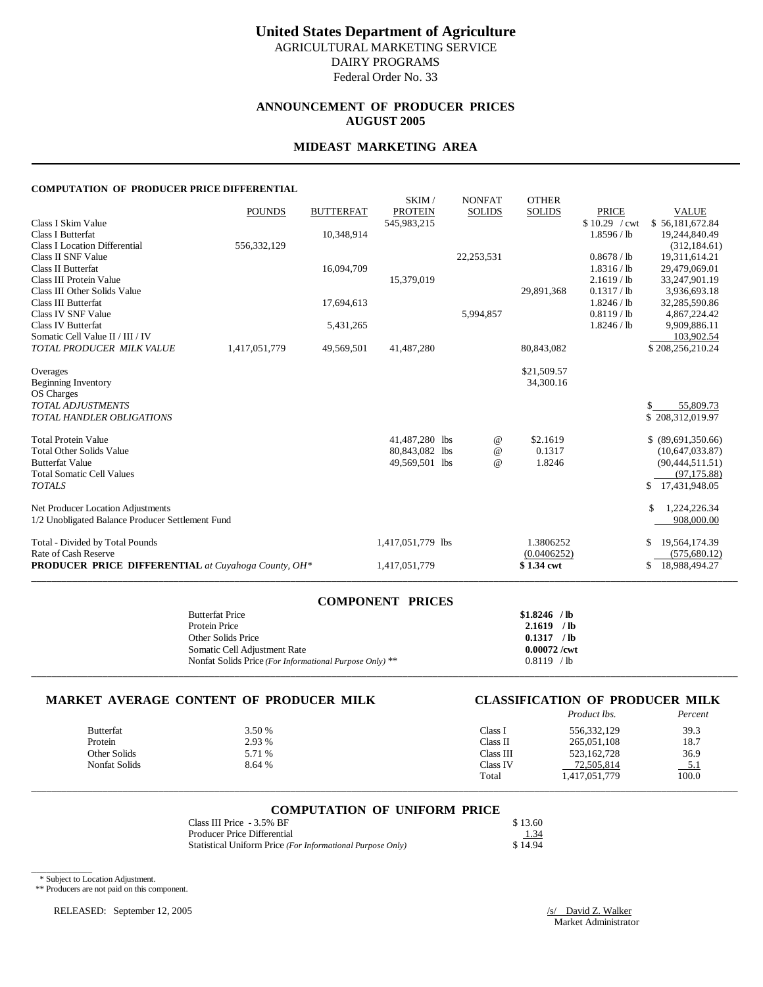### **ANNOUNCEMENT OF PRODUCER PRICES AUGUST 2005**

#### **MIDEAST MARKETING AREA**

#### **COMPUTATION OF PRODUCER PRICE DIFFERENTIAL**

|                                                            |               |                  | SKIM/             | <b>NONFAT</b> | <b>OTHER</b>  |               |                     |
|------------------------------------------------------------|---------------|------------------|-------------------|---------------|---------------|---------------|---------------------|
|                                                            | <b>POUNDS</b> | <b>BUTTERFAT</b> | <b>PROTEIN</b>    | <b>SOLIDS</b> | <b>SOLIDS</b> | <b>PRICE</b>  | <b>VALUE</b>        |
| Class I Skim Value                                         |               |                  | 545,983,215       |               |               | \$10.29 / cwt | \$56,181,672.84     |
| Class I Butterfat                                          |               | 10,348,914       |                   |               |               | 1.8596 / lb   | 19,244,840.49       |
| <b>Class I Location Differential</b>                       | 556,332,129   |                  |                   |               |               |               | (312, 184.61)       |
| Class II SNF Value                                         |               |                  |                   | 22,253,531    |               | 0.8678 / lb   | 19,311,614.21       |
| <b>Class II Butterfat</b>                                  |               | 16,094,709       |                   |               |               | 1.8316 / lb   | 29,479,069.01       |
| Class III Protein Value                                    |               |                  | 15,379,019        |               |               | 2.1619 / lb   | 33,247,901.19       |
| Class III Other Solids Value                               |               |                  |                   |               | 29,891,368    | 0.1317 / lb   | 3,936,693.18        |
| Class III Butterfat                                        |               | 17,694,613       |                   |               |               | 1.8246 / lb   | 32,285,590.86       |
| <b>Class IV SNF Value</b>                                  |               |                  |                   | 5,994,857     |               | 0.8119 / lb   | 4,867,224.42        |
| <b>Class IV Butterfat</b>                                  |               | 5,431,265        |                   |               |               | 1.8246 / lb   | 9,909,886.11        |
| Somatic Cell Value II / III / IV                           |               |                  |                   |               |               |               | 103,902.54          |
| TOTAL PRODUCER MILK VALUE                                  | 1,417,051,779 | 49,569,501       | 41,487,280        |               | 80,843,082    |               | \$208,256,210.24    |
| Overages                                                   |               |                  |                   |               | \$21,509.57   |               |                     |
| <b>Beginning Inventory</b>                                 |               |                  |                   |               | 34,300.16     |               |                     |
| OS Charges                                                 |               |                  |                   |               |               |               |                     |
| <b>TOTAL ADJUSTMENTS</b>                                   |               |                  |                   |               |               |               | 55,809.73           |
| TOTAL HANDLER OBLIGATIONS                                  |               |                  |                   |               |               |               | \$208,312,019.97    |
|                                                            |               |                  |                   |               |               |               |                     |
| <b>Total Protein Value</b>                                 |               |                  | 41,487,280 lbs    | $^{\circ}$    | \$2.1619      |               | \$ (89,691,350.66)  |
| <b>Total Other Solids Value</b>                            |               |                  | 80,843,082 lbs    | $\omega$      | 0.1317        |               | (10,647,033.87)     |
| <b>Butterfat Value</b>                                     |               |                  | 49,569,501 lbs    | $\omega$      | 1.8246        |               | (90,444,511.51)     |
| <b>Total Somatic Cell Values</b>                           |               |                  |                   |               |               |               | (97, 175.88)        |
| <b>TOTALS</b>                                              |               |                  |                   |               |               |               | 17,431,948.05<br>\$ |
| Net Producer Location Adjustments                          |               |                  |                   |               |               |               | \$<br>1,224,226.34  |
| 1/2 Unobligated Balance Producer Settlement Fund           |               |                  |                   |               |               |               | 908,000.00          |
| Total - Divided by Total Pounds                            |               |                  | 1,417,051,779 lbs |               | 1.3806252     |               | 19,564,174.39<br>\$ |
| Rate of Cash Reserve                                       |               |                  |                   |               | (0.0406252)   |               | (575, 680.12)       |
| <b>PRODUCER PRICE DIFFERENTIAL</b> at Cuyahoga County, OH* |               |                  | 1,417,051,779     |               | \$1.34 cwt    |               | 18,988,494.27<br>\$ |

| <b>COMPONENT PRICES</b>                                 |                |
|---------------------------------------------------------|----------------|
| <b>Butterfat Price</b>                                  | $$1.8246$ /lb  |
| Protein Price                                           | $2.1619$ /lb   |
| Other Solids Price                                      | $0.1317$ /lb   |
| Somatic Cell Adjustment Rate                            | $0.00072$ /cwt |
| Nonfat Solids Price (For Informational Purpose Only) ** | 0.8119 / lb    |
|                                                         |                |

#### **MARKET AVERAGE CONTENT OF PRODUCER MILK CLASSIFICATION OF PRODUCER MILK**

|               |        |           | Product lbs.  | Percent |
|---------------|--------|-----------|---------------|---------|
| Butterfat     | 3.50 % | Class 1   | 556, 332, 129 | 39.3    |
| Protein       | 2.93 % | Class II  | 265,051,108   | 18.7    |
| Other Solids  | 5.71 % | Class III | 523,162,728   | 36.9    |
| Nonfat Solids | 8.64 % | Class IV  | 72,505,814    | $-5.1$  |
|               |        | Total     | 1,417,051,779 | 100.0   |

## \_\_\_\_\_\_\_\_\_\_\_\_\_\_\_\_\_\_\_\_\_\_\_\_\_\_\_\_\_\_\_\_\_\_\_\_\_\_\_\_\_\_\_\_\_\_\_\_\_\_\_\_\_\_\_\_\_\_\_\_\_\_\_\_\_\_\_\_\_\_\_\_\_\_\_\_\_\_\_\_\_\_\_\_\_\_\_\_\_\_\_\_\_\_\_\_\_\_\_\_\_\_\_\_\_\_\_\_\_\_\_\_\_\_\_\_\_\_\_\_\_\_\_\_\_\_\_\_\_\_\_\_\_\_\_\_\_\_\_ **COMPUTATION OF UNIFORM PRICE**

| Class III Price - 3.5% BF                                  | \$13.60 |
|------------------------------------------------------------|---------|
| Producer Price Differential                                | 1.34    |
| Statistical Uniform Price (For Informational Purpose Only) | \$14.94 |

\* Subject to Location Adjustment.

\_\_\_\_\_\_\_\_\_\_\_\_

\*\* Producers are not paid on this component.

RELEASED: September 12, 2005 /s/ David Z. Walker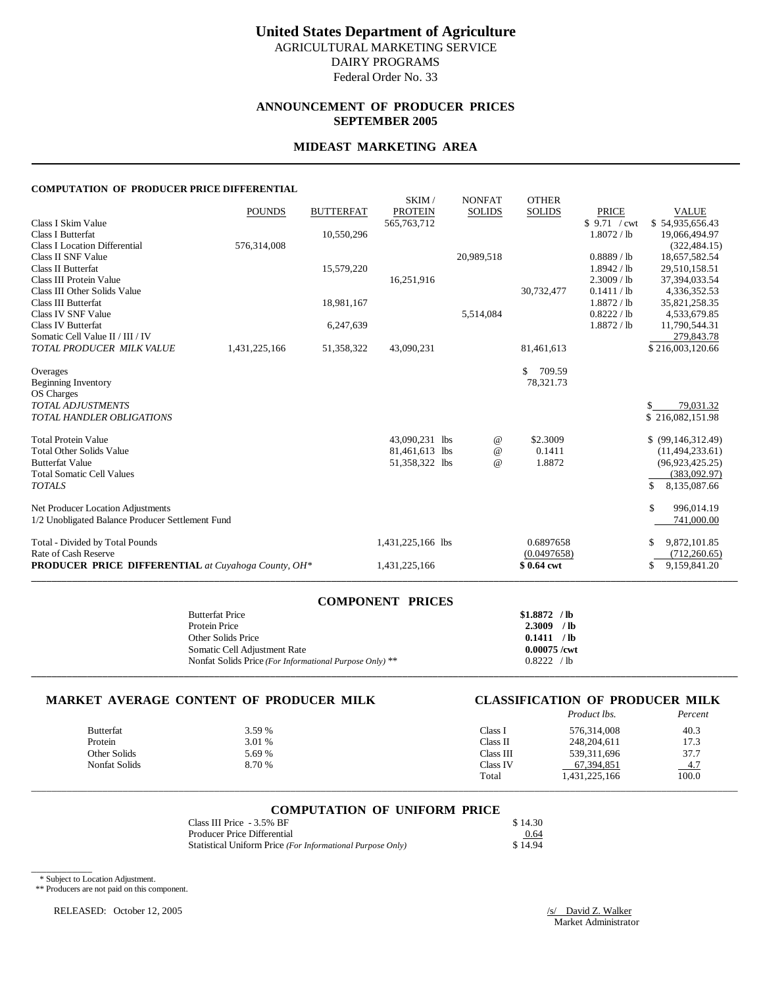### **ANNOUNCEMENT OF PRODUCER PRICES SEPTEMBER 2005**

#### **MIDEAST MARKETING AREA**

#### **COMPUTATION OF PRODUCER PRICE DIFFERENTIAL**

|                                                            |               |                  | SKIM/             | <b>NONFAT</b>   | <b>OTHER</b>  |               |                     |
|------------------------------------------------------------|---------------|------------------|-------------------|-----------------|---------------|---------------|---------------------|
|                                                            | <b>POUNDS</b> | <b>BUTTERFAT</b> | <b>PROTEIN</b>    | <b>SOLIDS</b>   | <b>SOLIDS</b> | <b>PRICE</b>  | <b>VALUE</b>        |
| Class I Skim Value                                         |               |                  | 565, 763, 712     |                 |               | \$9.71 / cwt  | \$54,935,656.43     |
| Class I Butterfat                                          |               | 10,550,296       |                   |                 |               | 1.8072 / lb   | 19,066,494.97       |
| <b>Class I Location Differential</b>                       | 576,314,008   |                  |                   |                 |               |               | (322, 484, 15)      |
| Class II SNF Value                                         |               |                  |                   | 20,989,518      |               | $0.8889$ / lb | 18,657,582.54       |
| <b>Class II Butterfat</b>                                  |               | 15,579,220       |                   |                 |               | 1.8942 / lb   | 29,510,158.51       |
| Class III Protein Value                                    |               |                  | 16,251,916        |                 |               | 2.3009 / lb   | 37,394,033.54       |
| Class III Other Solids Value                               |               |                  |                   |                 | 30,732,477    | 0.1411 / lb   | 4,336,352.53        |
| <b>Class III Butterfat</b>                                 |               | 18,981,167       |                   |                 |               | 1.8872 / lb   | 35,821,258.35       |
| <b>Class IV SNF Value</b>                                  |               |                  |                   | 5,514,084       |               | 0.8222 / lb   | 4,533,679.85        |
| <b>Class IV Butterfat</b>                                  |               | 6,247,639        |                   |                 |               | 1.8872 / lb   | 11,790,544.31       |
| Somatic Cell Value II / III / IV                           |               |                  |                   |                 |               |               | 279,843.78          |
| TOTAL PRODUCER MILK VALUE                                  | 1,431,225,166 | 51,358,322       | 43,090,231        |                 | 81,461,613    |               | \$216,003,120.66    |
| Overages                                                   |               |                  |                   |                 | \$<br>709.59  |               |                     |
| <b>Beginning Inventory</b>                                 |               |                  |                   |                 | 78,321.73     |               |                     |
| OS Charges                                                 |               |                  |                   |                 |               |               |                     |
| <b>TOTAL ADJUSTMENTS</b>                                   |               |                  |                   |                 |               |               | 79,031.32           |
| TOTAL HANDLER OBLIGATIONS                                  |               |                  |                   |                 |               |               | \$216,082,151.98    |
|                                                            |               |                  |                   |                 |               |               |                     |
| <b>Total Protein Value</b>                                 |               |                  | 43,090,231 lbs    | $^{\circ}$      | \$2,3009      |               | $$$ (99,146,312.49) |
| <b>Total Other Solids Value</b>                            |               |                  | 81,461,613 lbs    | $^{\copyright}$ | 0.1411        |               | (11, 494, 233.61)   |
| <b>Butterfat Value</b>                                     |               |                  | 51,358,322 lbs    | $\omega$        | 1.8872        |               | (96,923,425.25)     |
| <b>Total Somatic Cell Values</b>                           |               |                  |                   |                 |               |               | (383,092.97)        |
| <b>TOTALS</b>                                              |               |                  |                   |                 |               |               | \$<br>8,135,087.66  |
| Net Producer Location Adjustments                          |               |                  |                   |                 |               |               | \$<br>996,014.19    |
| 1/2 Unobligated Balance Producer Settlement Fund           |               |                  |                   |                 |               |               | 741,000.00          |
| Total - Divided by Total Pounds                            |               |                  | 1,431,225,166 lbs |                 | 0.6897658     |               | 9,872,101.85<br>\$  |
| Rate of Cash Reserve                                       |               |                  |                   |                 | (0.0497658)   |               | (712, 260.65)       |
| <b>PRODUCER PRICE DIFFERENTIAL</b> at Cuyahoga County, OH* |               |                  | 1,431,225,166     |                 | \$0.64 cwt    |               | 9,159,841.20<br>S   |

| <b>COMPONENT PRICES</b>                                 |                |
|---------------------------------------------------------|----------------|
| <b>Butterfat Price</b>                                  | $$1.8872$ /lb  |
| Protein Price                                           | $2.3009$ /lb   |
| Other Solids Price                                      | 0.1411 / lb    |
| Somatic Cell Adjustment Rate                            | $0.00075$ /cwt |
| Nonfat Solids Price (For Informational Purpose Only) ** | 0.8222 / lb    |
|                                                         |                |

#### **MARKET AVERAGE CONTENT OF PRODUCER MILK CLASSIFICATION OF PRODUCER MILK**

|                      |        |           | Product lbs.  | Percent |
|----------------------|--------|-----------|---------------|---------|
| <b>Butterfat</b>     | 3.59 % | Class l   | 576.314.008   | 40.3    |
| Protein              | 3.01 % | Class II  | 248, 204, 611 | 17.3    |
| Other Solids         | 5.69 % | Class III | 539, 311, 696 | 37.7    |
| <b>Nonfat Solids</b> | 8.70 % | Class IV  | 67.394.851    | $-4.7$  |
|                      |        | Total     | 1,431,225,166 | 100.0   |

## \_\_\_\_\_\_\_\_\_\_\_\_\_\_\_\_\_\_\_\_\_\_\_\_\_\_\_\_\_\_\_\_\_\_\_\_\_\_\_\_\_\_\_\_\_\_\_\_\_\_\_\_\_\_\_\_\_\_\_\_\_\_\_\_\_\_\_\_\_\_\_\_\_\_\_\_\_\_\_\_\_\_\_\_\_\_\_\_\_\_\_\_\_\_\_\_\_\_\_\_\_\_\_\_\_\_\_\_\_\_\_\_\_\_\_\_\_\_\_\_\_\_\_\_\_\_\_\_\_\_\_\_\_\_\_\_\_\_\_ **COMPUTATION OF UNIFORM PRICE**

| Class III Price - 3.5% BF                                  | \$14.30 |
|------------------------------------------------------------|---------|
| Producer Price Differential                                | 0.64    |
| Statistical Uniform Price (For Informational Purpose Only) | \$14.94 |

\* Subject to Location Adjustment.

\_\_\_\_\_\_\_\_\_\_\_\_

\*\* Producers are not paid on this component.

RELEASED: October 12, 2005 /s/ David Z. Walker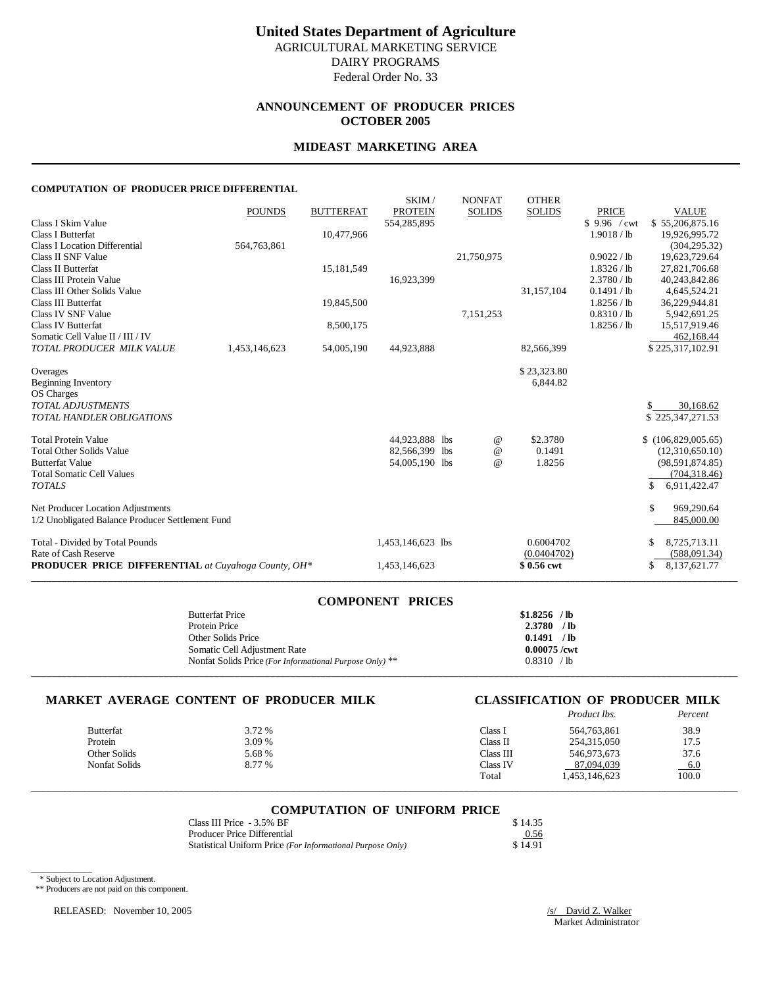### **ANNOUNCEMENT OF PRODUCER PRICES OCTOBER 2005**

#### **MIDEAST MARKETING AREA**

#### **COMPUTATION OF PRODUCER PRICE DIFFERENTIAL**

|                                                            | <b>POUNDS</b> | <b>BUTTERFAT</b> | SKIM/<br><b>PROTEIN</b> | <b>NONFAT</b><br><b>SOLIDS</b> | <b>OTHER</b><br><b>SOLIDS</b> | <b>PRICE</b> | <b>VALUE</b>                  |
|------------------------------------------------------------|---------------|------------------|-------------------------|--------------------------------|-------------------------------|--------------|-------------------------------|
| Class I Skim Value                                         |               |                  | 554,285,895             |                                |                               | \$9.96 / cwt | \$55,206,875.16               |
| <b>Class I Butterfat</b>                                   |               | 10,477,966       |                         |                                |                               | 1.9018 / lb  | 19.926.995.72                 |
| <b>Class I Location Differential</b>                       | 564,763,861   |                  |                         |                                |                               |              | (304, 295.32)                 |
| Class II SNF Value                                         |               |                  |                         | 21,750,975                     |                               | 0.9022 / lb  | 19,623,729.64                 |
| <b>Class II Butterfat</b>                                  |               | 15,181,549       |                         |                                |                               | 1.8326 / lb  | 27,821,706.68                 |
| Class III Protein Value                                    |               |                  | 16,923,399              |                                |                               | 2.3780 / lb  | 40,243,842.86                 |
| Class III Other Solids Value                               |               |                  |                         |                                | 31,157,104                    | 0.1491 / lb  | 4,645,524.21                  |
| Class III Butterfat                                        |               | 19,845,500       |                         |                                |                               | 1.8256 / lb  | 36,229,944.81                 |
| Class IV SNF Value                                         |               |                  |                         | 7,151,253                      |                               | 0.8310 / lb  | 5,942,691.25                  |
| <b>Class IV Butterfat</b>                                  |               | 8,500,175        |                         |                                |                               | 1.8256 / lb  | 15,517,919.46                 |
| Somatic Cell Value II / III / IV                           |               |                  |                         |                                |                               |              | 462,168.44                    |
| TOTAL PRODUCER MILK VALUE                                  | 1,453,146,623 | 54,005,190       | 44,923,888              |                                | 82,566,399                    |              | \$225,317,102.91              |
|                                                            |               |                  |                         |                                |                               |              |                               |
| Overages                                                   |               |                  |                         |                                | \$23,323.80                   |              |                               |
| <b>Beginning Inventory</b>                                 |               |                  |                         |                                | 6,844.82                      |              |                               |
| OS Charges<br><b>TOTAL ADJUSTMENTS</b>                     |               |                  |                         |                                |                               |              |                               |
| TOTAL HANDLER OBLIGATIONS                                  |               |                  |                         |                                |                               |              | 30,168.62<br>\$225,347,271.53 |
|                                                            |               |                  |                         |                                |                               |              |                               |
| <b>Total Protein Value</b>                                 |               |                  | 44,923,888 lbs          | @                              | \$2.3780                      |              | \$(106,829,005.65)            |
| <b>Total Other Solids Value</b>                            |               |                  | 82,566,399 lbs          | $^\text{\textregistered}$      | 0.1491                        |              | (12,310,650.10)               |
| <b>Butterfat Value</b>                                     |               |                  | 54,005,190 lbs          | $\omega$                       | 1.8256                        |              | (98, 591, 874.85)             |
| <b>Total Somatic Cell Values</b>                           |               |                  |                         |                                |                               |              | (704, 318.46)                 |
| <b>TOTALS</b>                                              |               |                  |                         |                                |                               |              | \$<br>6,911,422.47            |
| Net Producer Location Adjustments                          |               |                  |                         |                                |                               |              | \$<br>969,290.64              |
| 1/2 Unobligated Balance Producer Settlement Fund           |               |                  |                         |                                |                               |              | 845,000.00                    |
|                                                            |               |                  |                         |                                |                               |              |                               |
| Total - Divided by Total Pounds                            |               |                  | 1,453,146,623 lbs       |                                | 0.6004702                     |              | 8,725,713.11                  |
| Rate of Cash Reserve                                       |               |                  |                         |                                | (0.0404702)                   |              | (588,091.34)                  |
| <b>PRODUCER PRICE DIFFERENTIAL</b> at Cuyahoga County, OH* |               |                  | 1,453,146,623           |                                | \$0.56 cwt                    |              | 8,137,621.77<br>\$            |
|                                                            |               |                  |                         |                                |                               |              |                               |

| <b>COMPONENT PRICES</b>                                 |                |
|---------------------------------------------------------|----------------|
| <b>Butterfat Price</b>                                  | $$1.8256$ /lb  |
| Protein Price                                           | $2.3780$ /lb   |
| Other Solids Price                                      | 0.1491 / lb    |
| Somatic Cell Adjustment Rate                            | $0.00075$ /cwt |
| Nonfat Solids Price (For Informational Purpose Only) ** | 0.8310 / lb    |
|                                                         |                |

#### **MARKET AVERAGE CONTENT OF PRODUCER MILK CLASSIFICATION OF PRODUCER MILK**

|                  |        |           | <i>Product lbs.</i> | Percent |
|------------------|--------|-----------|---------------------|---------|
| <b>Butterfat</b> | 3.72 % | Class l   | 564,763,861         | 38.9    |
| Protein          | 3.09 % | Class II  | 254,315,050         | 17.5    |
| Other Solids     | 5.68 % | Class III | 546,973,673         | 37.6    |
| Nonfat Solids    | 8.77 % | Class IV  | 87,094,039          | $-6.0$  |
|                  |        | Total     | 453,146,623         | 100.0   |

## \_\_\_\_\_\_\_\_\_\_\_\_\_\_\_\_\_\_\_\_\_\_\_\_\_\_\_\_\_\_\_\_\_\_\_\_\_\_\_\_\_\_\_\_\_\_\_\_\_\_\_\_\_\_\_\_\_\_\_\_\_\_\_\_\_\_\_\_\_\_\_\_\_\_\_\_\_\_\_\_\_\_\_\_\_\_\_\_\_\_\_\_\_\_\_\_\_\_\_\_\_\_\_\_\_\_\_\_\_\_\_\_\_\_\_\_\_\_\_\_\_\_\_\_\_\_\_\_\_\_\_\_\_\_\_\_\_\_\_ **COMPUTATION OF UNIFORM PRICE**

| Class III Price - 3.5% BF                                  | \$14.35 |
|------------------------------------------------------------|---------|
| Producer Price Differential                                | 0.56    |
| Statistical Uniform Price (For Informational Purpose Only) | \$14.91 |

\* Subject to Location Adjustment.

\_\_\_\_\_\_\_\_\_\_\_\_

\*\* Producers are not paid on this component.

RELEASED: November 10, 2005 /s/ David Z. Walker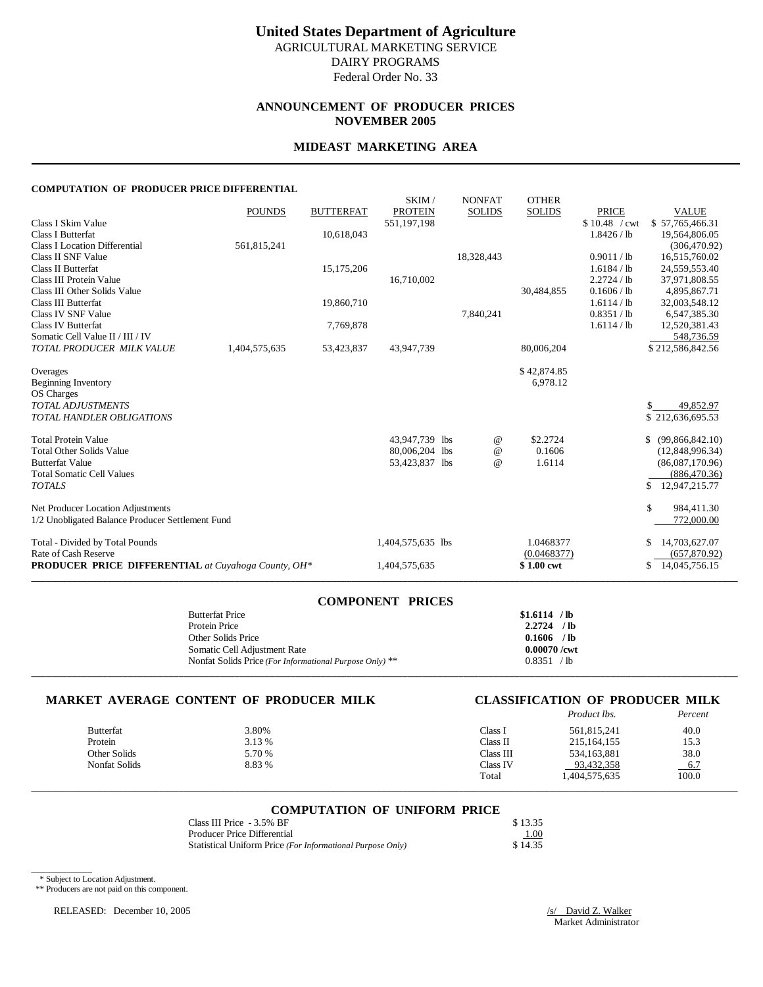### **ANNOUNCEMENT OF PRODUCER PRICES NOVEMBER 2005**

#### **MIDEAST MARKETING AREA**

#### **COMPUTATION OF PRODUCER PRICE DIFFERENTIAL**

|                                                               | <b>POUNDS</b> | <b>BUTTERFAT</b> | SKIM/<br><b>PROTEIN</b> | <b>NONFAT</b><br><b>SOLIDS</b> | <b>OTHER</b><br><b>SOLIDS</b> | <b>PRICE</b>  | <b>VALUE</b>          |
|---------------------------------------------------------------|---------------|------------------|-------------------------|--------------------------------|-------------------------------|---------------|-----------------------|
| Class I Skim Value                                            |               |                  | 551,197,198             |                                |                               | \$10.48 / cwt | \$57,765,466.31       |
| <b>Class I Butterfat</b>                                      |               | 10,618,043       |                         |                                |                               | 1.8426 / lb   | 19,564,806.05         |
| <b>Class I Location Differential</b>                          | 561,815,241   |                  |                         |                                |                               |               | (306, 470.92)         |
| Class II SNF Value                                            |               |                  |                         | 18,328,443                     |                               | 0.9011 / lb   | 16,515,760.02         |
| <b>Class II Butterfat</b>                                     |               | 15, 175, 206     |                         |                                |                               | 1.6184 / lb   | 24,559,553.40         |
| Class III Protein Value                                       |               |                  | 16,710,002              |                                |                               | 2.2724 / lb   | 37,971,808.55         |
| Class III Other Solids Value                                  |               |                  |                         |                                | 30,484,855                    | 0.1606 / lb   | 4,895,867.71          |
| Class III Butterfat                                           |               | 19,860,710       |                         |                                |                               | 1.6114 / lb   | 32,003,548.12         |
| Class IV SNF Value                                            |               |                  |                         | 7,840,241                      |                               | 0.8351 / lb   | 6,547,385.30          |
| <b>Class IV Butterfat</b>                                     |               | 7,769,878        |                         |                                |                               | 1.6114 / lb   | 12,520,381.43         |
| Somatic Cell Value II / III / IV<br>TOTAL PRODUCER MILK VALUE |               |                  |                         |                                |                               |               | 548,736.59            |
|                                                               | 1,404,575,635 | 53,423,837       | 43,947,739              |                                | 80,006,204                    |               | \$212,586,842.56      |
| Overages                                                      |               |                  |                         |                                | \$42,874.85                   |               |                       |
| <b>Beginning Inventory</b>                                    |               |                  |                         |                                | 6,978.12                      |               |                       |
| OS Charges                                                    |               |                  |                         |                                |                               |               |                       |
| <b>TOTAL ADJUSTMENTS</b>                                      |               |                  |                         |                                |                               |               | 49,852.97             |
| TOTAL HANDLER OBLIGATIONS                                     |               |                  |                         |                                |                               |               | \$212,636,695.53      |
|                                                               |               |                  |                         |                                |                               |               |                       |
| <b>Total Protein Value</b>                                    |               |                  | 43,947,739 lbs          | @                              | \$2.2724                      |               | \$<br>(99,866,842.10) |
| <b>Total Other Solids Value</b>                               |               |                  | 80,006,204 lbs          | $^{\copyright}$                | 0.1606                        |               | (12,848,996.34)       |
| <b>Butterfat Value</b>                                        |               |                  | 53,423,837 lbs          | $\omega$                       | 1.6114                        |               | (86,087,170.96)       |
| <b>Total Somatic Cell Values</b>                              |               |                  |                         |                                |                               |               | (886, 470.36)         |
| <b>TOTALS</b>                                                 |               |                  |                         |                                |                               |               | \$<br>12,947,215.77   |
| Net Producer Location Adjustments                             |               |                  |                         |                                |                               |               | \$<br>984,411.30      |
| 1/2 Unobligated Balance Producer Settlement Fund              |               |                  |                         |                                |                               |               | 772,000.00            |
|                                                               |               |                  |                         |                                |                               |               |                       |
| Total - Divided by Total Pounds                               |               |                  | 1,404,575,635 lbs       |                                | 1.0468377                     |               | 14,703,627.07<br>\$   |
| Rate of Cash Reserve                                          |               |                  |                         |                                | (0.0468377)                   |               | (657,870.92)          |
| <b>PRODUCER PRICE DIFFERENTIAL</b> at Cuyahoga County, OH*    |               |                  | 1,404,575,635           |                                | \$1.00 cwt                    |               | 14,045,756.15<br>\$   |
|                                                               |               |                  |                         |                                |                               |               |                       |

| <b>COMPONENT PRICES</b>                                 |                |
|---------------------------------------------------------|----------------|
| <b>Butterfat Price</b>                                  | $$1.6114$ /lb  |
| Protein Price                                           | $2.2724$ /lb   |
| Other Solids Price                                      | $0.1606$ /lb   |
| Somatic Cell Adjustment Rate                            | $0.00070$ /cwt |
| Nonfat Solids Price (For Informational Purpose Only) ** | 0.8351 / lb    |
|                                                         |                |

### **MARKET AVERAGE CONTENT OF PRODUCER MILK CLASSIFICATION OF PRODUCER MILK**

|                  |        |           | Product lbs.  | Percent |
|------------------|--------|-----------|---------------|---------|
| <b>Butterfat</b> | 3.80%  | Class l   | 561,815,241   | 40.0    |
| Protein          | 3.13 % | Class II  | 215.164.155   | 15.3    |
| Other Solids     | 5.70 % | Class III | 534,163,881   | 38.0    |
| Nonfat Solids    | 8.83 % | Class IV  | 93,432,358    | $-6.7$  |
|                  |        | Total     | 1,404,575,635 | 100.0   |

## \_\_\_\_\_\_\_\_\_\_\_\_\_\_\_\_\_\_\_\_\_\_\_\_\_\_\_\_\_\_\_\_\_\_\_\_\_\_\_\_\_\_\_\_\_\_\_\_\_\_\_\_\_\_\_\_\_\_\_\_\_\_\_\_\_\_\_\_\_\_\_\_\_\_\_\_\_\_\_\_\_\_\_\_\_\_\_\_\_\_\_\_\_\_\_\_\_\_\_\_\_\_\_\_\_\_\_\_\_\_\_\_\_\_\_\_\_\_\_\_\_\_\_\_\_\_\_\_\_\_\_\_\_\_\_\_\_\_\_ **COMPUTATION OF UNIFORM PRICE**

| Class III Price - 3.5% BF                                  | \$13.35 |
|------------------------------------------------------------|---------|
| Producer Price Differential                                | 1.00    |
| Statistical Uniform Price (For Informational Purpose Only) | \$14.35 |

\* Subject to Location Adjustment.

\_\_\_\_\_\_\_\_\_\_\_\_

\*\* Producers are not paid on this component.

RELEASED: December 10, 2005 /s/ David Z. Walker